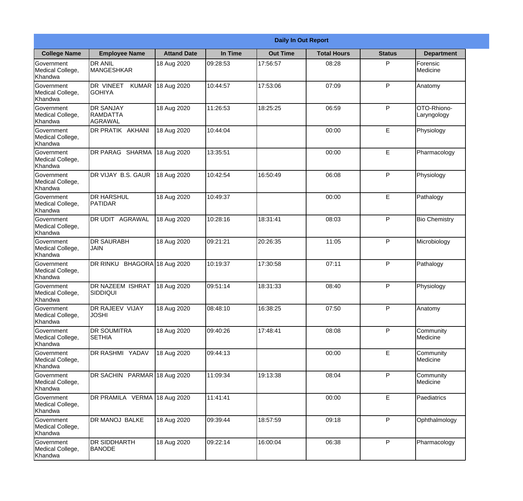|                                                  | <b>Daily In Out Report</b>                      |                    |          |                 |                    |               |                            |  |  |
|--------------------------------------------------|-------------------------------------------------|--------------------|----------|-----------------|--------------------|---------------|----------------------------|--|--|
| <b>College Name</b>                              | <b>Employee Name</b>                            | <b>Attand Date</b> | In Time  | <b>Out Time</b> | <b>Total Hours</b> | <b>Status</b> | <b>Department</b>          |  |  |
| Government<br>Medical College,<br>Khandwa        | <b>DR ANIL</b><br><b>MANGESHKAR</b>             | 18 Aug 2020        | 09:28:53 | 17:56:57        | 08:28              | P             | Forensic<br>Medicine       |  |  |
| Government<br>Medical College,<br>Khandwa        | DR VINEET<br><b>KUMAR</b><br><b>GOHIYA</b>      | 18 Aug 2020        | 10:44:57 | 17:53:06        | 07:09              | P             | Anatomy                    |  |  |
| <b>Government</b><br>Medical College,<br>Khandwa | <b>DR SANJAY</b><br><b>IRAMDATTA</b><br>AGRAWAL | 18 Aug 2020        | 11:26:53 | 18:25:25        | 06:59              | P             | OTO-Rhiono-<br>Laryngology |  |  |
| <b>Government</b><br>Medical College,<br>Khandwa | DR PRATIK AKHANI                                | 18 Aug 2020        | 10:44:04 |                 | 00:00              | E             | Physiology                 |  |  |
| Government<br>Medical College,<br>Khandwa        | DR PARAG SHARMA                                 | 18 Aug 2020        | 13:35:51 |                 | 00:00              | E             | Pharmacology               |  |  |
| Government<br>Medical College,<br>Khandwa        | DR VIJAY B.S. GAUR                              | 18 Aug 2020        | 10:42:54 | 16:50:49        | 06:08              | P             | Physiology                 |  |  |
| <b>Government</b><br>Medical College,<br>Khandwa | <b>DR HARSHUL</b><br><b>PATIDAR</b>             | 18 Aug 2020        | 10:49:37 |                 | 00:00              | E             | Pathalogy                  |  |  |
| <b>Government</b><br>Medical College,<br>Khandwa | <b>DR UDIT AGRAWAL</b>                          | 18 Aug 2020        | 10:28:16 | 18:31:41        | 08:03              | P             | <b>Bio Chemistry</b>       |  |  |
| Government<br>Medical College,<br>Khandwa        | <b>DR SAURABH</b><br><b>JAIN</b>                | 18 Aug 2020        | 09:21:21 | 20:26:35        | 11:05              | P             | Microbiology               |  |  |
| Government<br>Medical College,<br>Khandwa        | DR RINKU BHAGORA 18 Aug 2020                    |                    | 10:19:37 | 17:30:58        | 07:11              | P             | Pathalogy                  |  |  |
| Government<br>Medical College,<br>Khandwa        | <b>DR NAZEEM ISHRAT</b><br>SIDDIQUI             | 18 Aug 2020        | 09:51:14 | 18:31:33        | 08:40              | P             | Physiology                 |  |  |
| Government<br>Medical College,<br>Khandwa        | DR RAJEEV VIJAY<br><b>JOSHI</b>                 | 18 Aug 2020        | 08:48:10 | 16:38:25        | 07:50              | P             | Anatomy                    |  |  |
| Government<br>Medical College,<br>Khandwa        | <b>DR SOUMITRA</b><br><b>SETHIA</b>             | 18 Aug 2020        | 09:40:26 | 17:48:41        | 08:08              | P             | Community<br>Medicine      |  |  |
| Government<br>Medical College,<br>Khandwa        | <b>DR RASHMI YADAV</b>                          | 18 Aug 2020        | 09:44:13 |                 | 00:00              | $\mathsf E$   | Community<br>Medicine      |  |  |
| Government<br>Medical College,<br>Khandwa        | DR SACHIN PARMAR 18 Aug 2020                    |                    | 11:09:34 | 19:13:38        | 08:04              | P             | Community<br>Medicine      |  |  |
| Government<br>Medical College,<br>Khandwa        | DR PRAMILA VERMA 18 Aug 2020                    |                    | 11:41:41 |                 | 00:00              | E             | Paediatrics                |  |  |
| Government<br>Medical College,<br>Khandwa        | DR MANOJ BALKE                                  | 18 Aug 2020        | 09:39:44 | 18:57:59        | 09:18              | P             | Ophthalmology              |  |  |
| Government<br>Medical College,<br>Khandwa        | <b>DR SIDDHARTH</b><br><b>BANODE</b>            | 18 Aug 2020        | 09:22:14 | 16:00:04        | 06:38              | P             | Pharmacology               |  |  |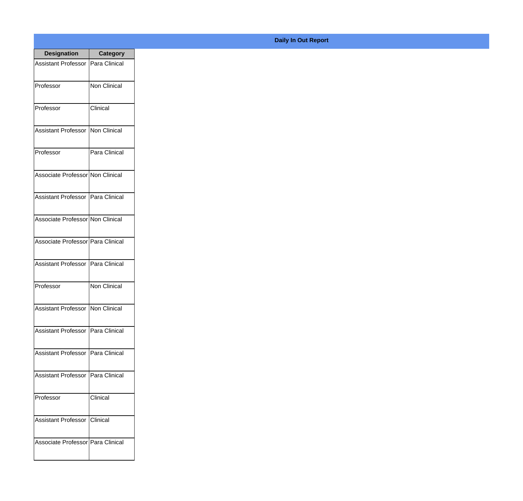| <b>Designation</b>                  | Category            |
|-------------------------------------|---------------------|
| Assistant Professor                 | Para Clinical       |
| Professor                           | <b>Non Clinical</b> |
| Professor                           | Clinical            |
| Assistant Professor                 | Non Clinical        |
| Professor                           | Para Clinical       |
| Associate Professor Non Clinical    |                     |
| Assistant Professor Para Clinical   |                     |
| Associate Professor Non Clinical    |                     |
| Associate Professor Para Clinical   |                     |
| Assistant Professor   Para Clinical |                     |
| Professor                           | Non Clinical        |
| Assistant Professor Non Clinical    |                     |
| <b>Assistant Professor</b>          | Para Clinical       |
| <b>Assistant Professor</b>          | Para Clinical       |
| <b>Assistant Professor</b>          | Para Clinical       |
| Professor                           | Clinical            |
| <b>Assistant Professor</b>          | Clinical            |
| Associate Professor   Para Clinical |                     |

## **Daily In Out Report**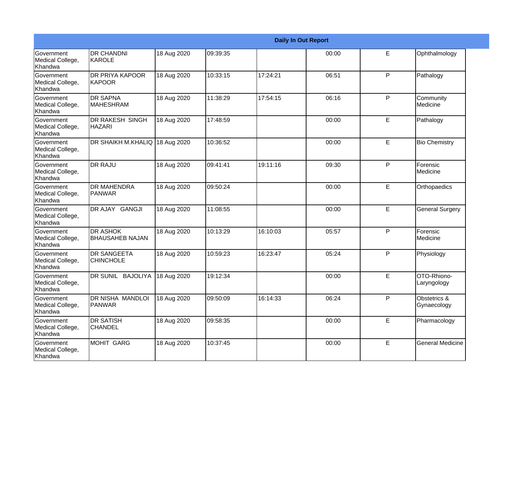|                                                         | <b>Daily In Out Report</b>                |             |          |          |       |    |                             |  |
|---------------------------------------------------------|-------------------------------------------|-------------|----------|----------|-------|----|-----------------------------|--|
| Government<br>Medical College,<br>Khandwa               | <b>DR CHANDNI</b><br>KAROLE               | 18 Aug 2020 | 09:39:35 |          | 00:00 | E  | Ophthalmology               |  |
| <b>Government</b><br>Medical College,<br>Khandwa        | <b>DR PRIYA KAPOOR</b><br><b>KAPOOR</b>   | 18 Aug 2020 | 10:33:15 | 17:24:21 | 06:51 | P  | Pathalogy                   |  |
| <b>Government</b><br>Medical College,<br><b>Khandwa</b> | <b>DR SAPNA</b><br><b>MAHESHRAM</b>       | 18 Aug 2020 | 11:38:29 | 17:54:15 | 06:16 | P  | Community<br>Medicine       |  |
| <b>Government</b><br>Medical College,<br>Khandwa        | <b>DR RAKESH SINGH</b><br><b>HAZARI</b>   | 18 Aug 2020 | 17:48:59 |          | 00:00 | E  | Pathalogy                   |  |
| Government<br>Medical College,<br>Khandwa               | <b>DR SHAIKH M.KHALIQ</b>                 | 18 Aug 2020 | 10:36:52 |          | 00:00 | E  | <b>Bio Chemistry</b>        |  |
| Government<br>Medical College,<br>Khandwa               | <b>DR RAJU</b>                            | 18 Aug 2020 | 09:41:41 | 19:11:16 | 09:30 | P  | Forensic<br>Medicine        |  |
| Government<br>Medical College,<br>Khandwa               | <b>DR MAHENDRA</b><br><b>PANWAR</b>       | 18 Aug 2020 | 09:50:24 |          | 00:00 | E  | Orthopaedics                |  |
| Government<br>Medical College,<br>Khandwa               | DR AJAY GANGJI                            | 18 Aug 2020 | 11:08:55 |          | 00:00 | E  | <b>General Surgery</b>      |  |
| Government<br>Medical College,<br>Khandwa               | <b>DR ASHOK</b><br><b>BHAUSAHEB NAJAN</b> | 18 Aug 2020 | 10:13:29 | 16:10:03 | 05:57 | P  | Forensic<br>Medicine        |  |
| <b>Government</b><br>Medical College,<br>Khandwa        | <b>DR SANGEETA</b><br><b>CHINCHOLE</b>    | 18 Aug 2020 | 10:59:23 | 16:23:47 | 05:24 | P  | Physiology                  |  |
| <b>Government</b><br>Medical College,<br>Khandwa        | DR SUNIL BAJOLIYA                         | 18 Aug 2020 | 19:12:34 |          | 00:00 | E  | OTO-Rhiono-<br>Laryngology  |  |
| Government<br>Medical College,<br>Khandwa               | <b>DR NISHA MANDLOI</b><br><b>PANWAR</b>  | 18 Aug 2020 | 09:50:09 | 16:14:33 | 06:24 | P  | Obstetrics &<br>Gynaecology |  |
| Government<br>Medical College,<br>Khandwa               | <b>DR SATISH</b><br><b>CHANDEL</b>        | 18 Aug 2020 | 09:58:35 |          | 00:00 | E. | Pharmacology                |  |
| Government<br>Medical College,<br>Khandwa               | MOHIT GARG                                | 18 Aug 2020 | 10:37:45 |          | 00:00 | E  | <b>General Medicine</b>     |  |